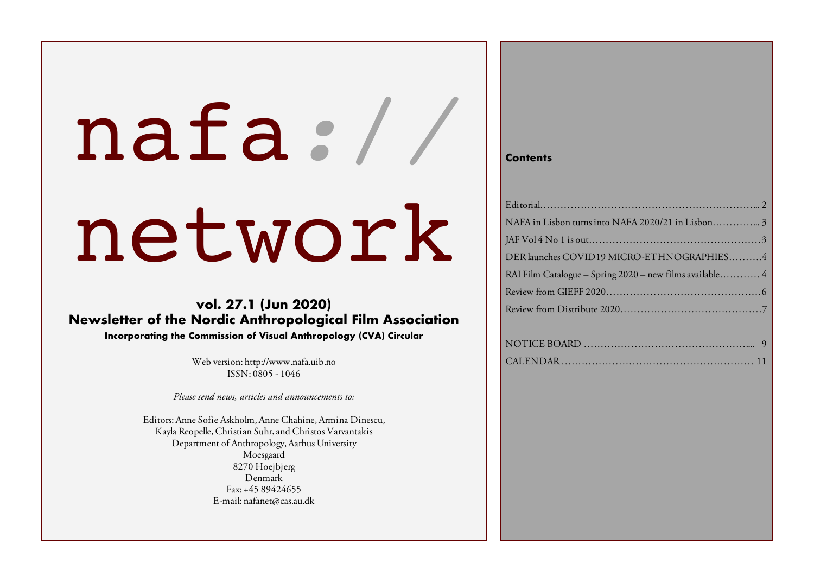# nafa*:*/*/* network

# **vol. 27.1 (Jun 2020) Newsletter of the Nordic Anthropological Film Association**

**Incorporating the Commission of Visual Anthropology (CVA) Circular** 

Web version: http://www.nafa.uib.no ISSN: 0805 - 1046

*Please send news, articles and announcements to:*

Editors: Anne Sofie Askholm, Anne Chahine, Armina Dinescu, Kayla Reopelle, Christian Suhr, and Christos Varvantakis Department of Anthropology, Aarhus University Moesgaard 8270 Hoejbjerg Denmark Fax: +45 89424655 E-mail: nafanet@cas.au.dk

#### **Contents**

| DER launches COVID19 MICRO-ETHNOGRAPHIES4                |
|----------------------------------------------------------|
| RAI Film Catalogue - Spring 2020 - new films available 4 |
|                                                          |
|                                                          |
|                                                          |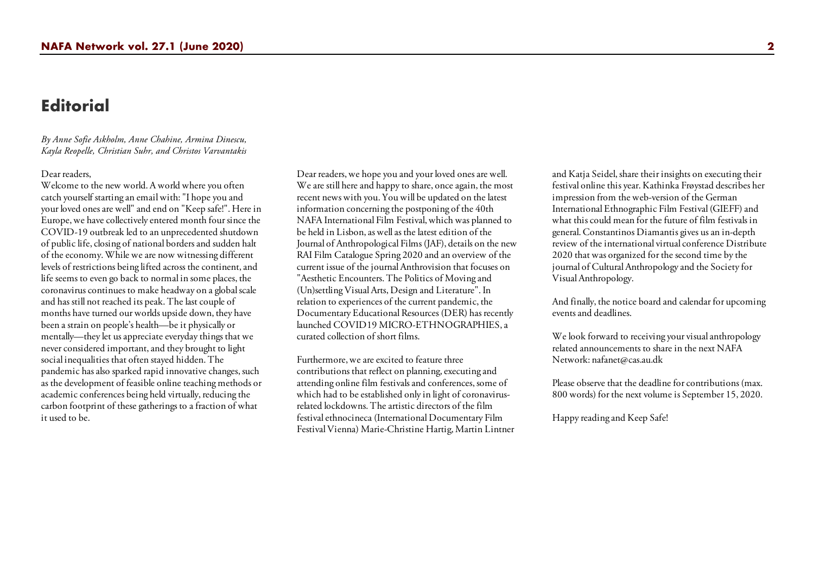# **Editorial**

#### *By Anne Sofie Askholm, Anne Chahine, Armina Dinescu, Kayla Reopelle, Christian Suhr, and Christos Varvantakis*

#### Dear readers,

Welcome to the new world. A world where you often catch yourself starting an email with: "I hope you and your loved ones are well" and end on "Keep safe!". Here in Europe, we have collectively entered month four since the COVID-19 outbreak led to an unprecedented shutdown of public life, closing of national borders and sudden halt of the economy. While we are now witnessing different levels of restrictions being lifted across the continent, and life seems to even go back to normal in some places, the coronavirus continues to make headway on a global scale and has still not reached its peak. The last couple of months have turned our worlds upside down, they have been a strain on people's health—be it physically or mentally—they let us appreciate everyday things that we never considered important, and they brought to light social inequalities that often stayed hidden. The pandemic has also sparked rapid innovative changes, such as the development of feasible online teaching methods or academic conferences being held virtually, reducing the carbon footprint of these gatherings to a fraction of what it used to be.

Dear readers, we hope you and your loved ones are well. We are still here and happy to share, once again, the most recent news with you. You will be updated on the latest information concerning the postponing of the 40th NAFA International Film Festival, which was planned to be held in Lisbon, as well as the latest edition of the Journal of Anthropological Films (JAF), details on the new RAI Film Catalogue Spring 2020 and an overview of the current issue of the journal Anthrovision that focuses on "Aesthetic Encounters. The Politics of Moving and (Un)settling Visual Arts, Design and Literature". In relation to experiences of the current pandemic, the Documentary Educational Resources (DER) has recently launched COVID19 MICRO-ETHNOGRAPHIES, a curated collection of short films.

Furthermore, we are excited to feature three contributions that reflect on planning, executing and attending online film festivals and conferences, some of which had to be established only in light of coronavirusrelated lockdowns. The artistic directors of the film festival ethnocineca (International Documentary Film Festival Vienna) Marie-Christine Hartig, Martin Lintner and Katja Seidel, share their insights on executing their festival online this year. Kathinka Frøystad describes her impression from the web-version of the German International Ethnographic Film Festival (GIEFF) and what this could mean for the future of film festivals in general. Constantinos Diamantis gives us an in-depth review of the international virtual conference Distribute 2020 that was organized for the second time by the journal of Cultural Anthropology and the Society for Visual Anthropology.

And finally, the notice board and calendar for upcoming events and deadlines.

We look forward to receiving your visual anthropology related announcements to share in the next NAFA Network: nafanet@cas.au.dk

Please observe that the deadline for contributions (max. 800 words) for the next volume is September 15, 2020.

Happy reading and Keep Safe!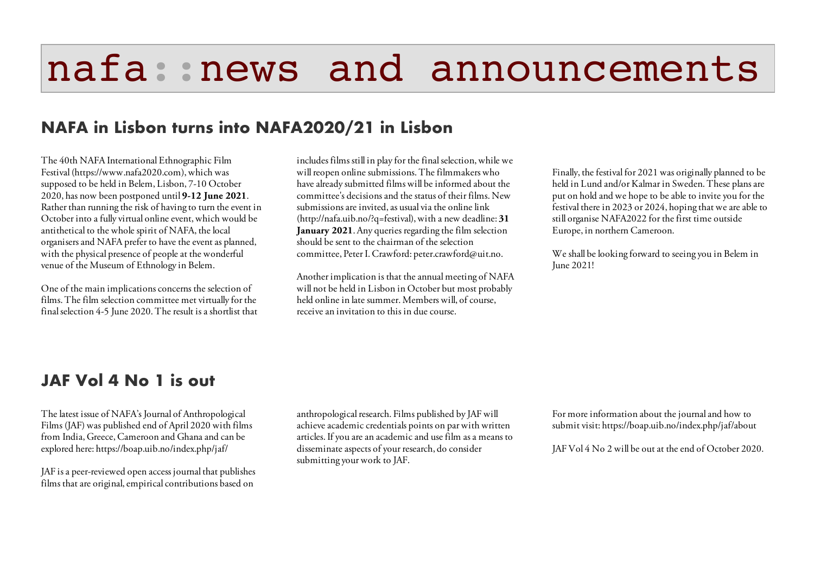# nafa::news and announcements

# **NAFA in Lisbon turns into NAFA2020/21 in Lisbon**

The 40th NAFA International Ethnographic Film Festival (https://www.nafa2020.com), which was supposed to be held in Belem, Lisbon, 7-10 October 2020, has now been postponed until **9-12 June 2021**. Rather than running the risk of having to turn the event in October into a fully virtual online event, which would be antithetical to the whole spirit of NAFA, the local organisers and NAFA prefer to have the event as planned, with the physical presence of people at the wonderful venue of the Museum of Ethnology in Belem.

One of the main implications concerns the selection of films. The film selection committee met virtually for the final selection 4-5 June 2020. The result is a shortlist that includes films still in play for the final selection, while we will reopen online submissions. The filmmakers who have already submitted films will be informed about the committee's decisions and the status of their films. New submissions are invited, as usual via the online link (http://nafa.uib.no/?q=festival), with a new deadline: **31 January 2021**. Any queries regarding the film selection should be sent to the chairman of the selection committee, Peter I. Crawford: peter.crawford@uit.no.

Another implication is that the annual meeting of NAFA will not be held in Lisbon in October but most probably held online in late summer. Members will, of course, receive an invitation to this in due course.

Finally, the festival for 2021 was originally planned to be held in Lund and/or Kalmar in Sweden. These plans are put on hold and we hope to be able to invite you for the festival there in 2023 or 2024, hoping that we are able to still organise NAFA2022 for the first time outside Europe, in northern Cameroon.

We shall be looking forward to seeing you in Belem in June 2021!

# **JAF Vol 4 No 1 is out**

The latest issue of NAFA's Journal of Anthropological Films (JAF) was published end of April 2020 with films from India, Greece, Cameroon and Ghana and can be explored here: https://boap.uib.no/index.php/jaf/

JAF is a peer-reviewed open access journal that publishes films that are original, empirical contributions based on

anthropological research. Films published by JAF will achieve academic credentials points on par with written articles. If you are an academic and use film as a means to disseminate aspects of your research, do consider submitting your work to JAF.

For more information about the journal and how to submit visit: https://boap.uib.no/index.php/jaf/about

JAF Vol 4 No 2 will be out at the end of October 2020.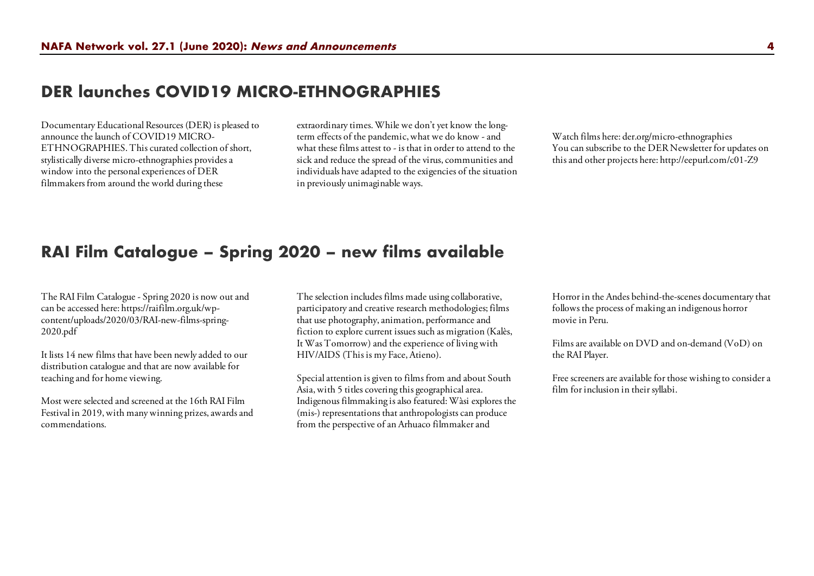# **DER launches COVID19 MICRO-ETHNOGRAPHIES**

Documentary Educational Resources (DER) is pleased to announce the launch of COVID19 MICRO-ETHNOGRAPHIES. This curated collection of short, stylistically diverse micro-ethnographies provides a window into the personal experiences of DER filmmakers from around the world during these

extraordinary times. While we don't yet know the longterm effects of the pandemic, what we do know - and what these films attest to - is that in order to attend to the sick and reduce the spread of the virus, communities and individuals have adapted to the exigencies of the situation in previously unimaginable ways.

Watch films here: der.org/micro-ethnographies You can subscribe to the DER Newsletter for updates on this and other projects here: http://eepurl.com/c01-Z9

# **RAI Film Catalogue – Spring 2020 – new films available**

The RAI Film Catalogue - Spring 2020 is now out and can be accessed here: https://raifilm.org.uk/wpcontent/uploads/2020/03/RAI-new-films-spring-2020.pdf

It lists 14 new films that have been newly added to our distribution catalogue and that are now available for teaching and for home viewing.

Most were selected and screened at the 16th RAI Film Festival in 2019, with many winning prizes, awards and commendations.

The selection includes films made using collaborative, participatory and creative research methodologies; films that use photography, animation, performance and fiction to explore current issues such as migration (Kalès, It Was Tomorrow) and the experience of living with HIV/AIDS (This is my Face, Atieno).

Special attention is given to films from and about South Asia, with 5 titles covering this geographical area. Indigenous filmmaking is also featured: Wàsi explores the (mis-) representations that anthropologists can produce from the perspective of an Arhuaco filmmaker and

Horror in the Andes behind-the-scenes documentary that follows the process of making an indigenous horror movie in Peru.

Films are available on DVD and on-demand (VoD) on the RAI Player.

Free screeners are available for those wishing to consider a film for inclusion in their syllabi.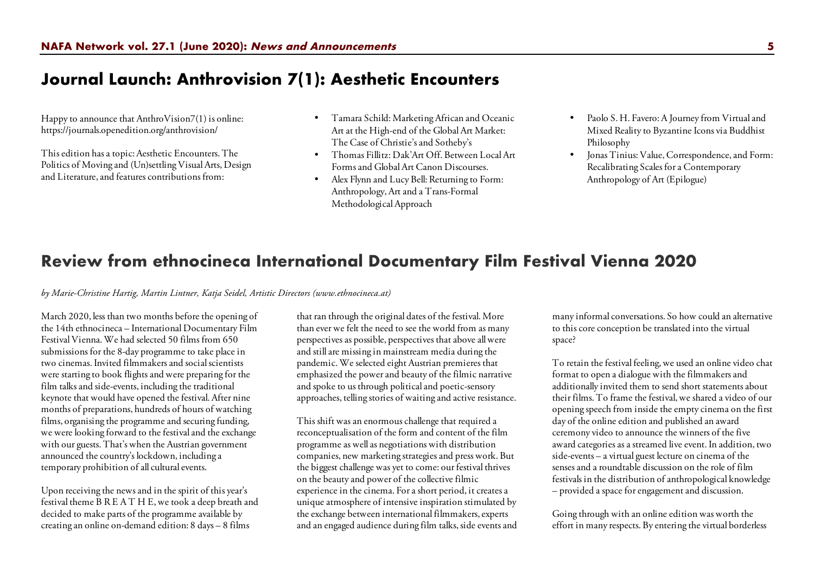# **Journal Launch: Anthrovision 7(1): Aesthetic Encounters**

Happy to announce that AnthroVision7(1) is online: https://journals.openedition.org/anthrovision/

This edition has a topic: Aesthetic Encounters. The Politics of Moving and (Un)settling Visual Arts, Design and Literature, and features contributions from:

- Tamara Schild: Marketing African and Oceanic Art at the High-end of the Global Art Market: The Case of Christie's and Sotheby's
- Thomas Fillitz: Dak'Art Off. Between Local Art Forms and Global Art Canon Discourses.
- Alex Flynn and Lucy Bell: Returning to Form: Anthropology, Art and a Trans-Formal Methodological Approach
- Paolo S. H. Favero: A Journey from Virtual and Mixed Reality to Byzantine Icons via Buddhist Philosophy
- Jonas Tinius: Value, Correspondence, and Form: Recalibrating Scales for a Contemporary Anthropology of Art (Epilogue)

# **Review from ethnocineca International Documentary Film Festival Vienna 2020**

*by Marie-Christine Hartig, Martin Lintner, Katja Seidel, Artistic Directors (www.ethnocineca.at)* 

March 2020, less than two months before the opening of the 14th ethnocineca – International Documentary Film Festival Vienna. We had selected 50 films from 650 submissions for the 8-day programme to take place in two cinemas. Invited filmmakers and social scientists were starting to book flights and were preparing for the film talks and side-events, including the traditional keynote that would have opened the festival. After nine months of preparations, hundreds of hours of watching films, organising the programme and securing funding, we were looking forward to the festival and the exchange with our guests. That's when the Austrian government announced the country's lockdown, including a temporary prohibition of all cultural events.

Upon receiving the news and in the spirit of this year's festival theme B R E A T H E, we took a deep breath and decided to make parts of the programme available by creating an online on-demand edition: 8 days – 8 films

that ran through the original dates of the festival. More than ever we felt the need to see the world from as many perspectives as possible, perspectives that above all were and still are missing in mainstream media during the pandemic. We selected eight Austrian premieres that emphasized the power and beauty of the filmic narrative and spoke to us through political and poetic-sensory approaches, telling stories of waiting and active resistance.

This shift was an enormous challenge that required a reconceptualisation of the form and content of the film programme as well as negotiations with distribution companies, new marketing strategies and press work. But the biggest challenge was yet to come: our festival thrives on the beauty and power of the collective filmic experience in the cinema. For a short period, it creates a unique atmosphere of intensive inspiration stimulated by the exchange between international filmmakers, experts and an engaged audience during film talks, side events and many informal conversations. So how could an alternative to this core conception be translated into the virtual space?

To retain the festival feeling, we used an online video chat format to open a dialogue with the filmmakers and additionally invited them to send short statements about their films. To frame the festival, we shared a video of our opening speech from inside the empty cinema on the first day of the online edition and published an award ceremony video to announce the winners of the five award categories as a streamed live event. In addition, two side-events – a virtual guest lecture on cinema of the senses and a roundtable discussion on the role of film festivals in the distribution of anthropological knowledge – provided a space for engagement and discussion.

Going through with an online edition was worth the effort in many respects. By entering the virtual borderless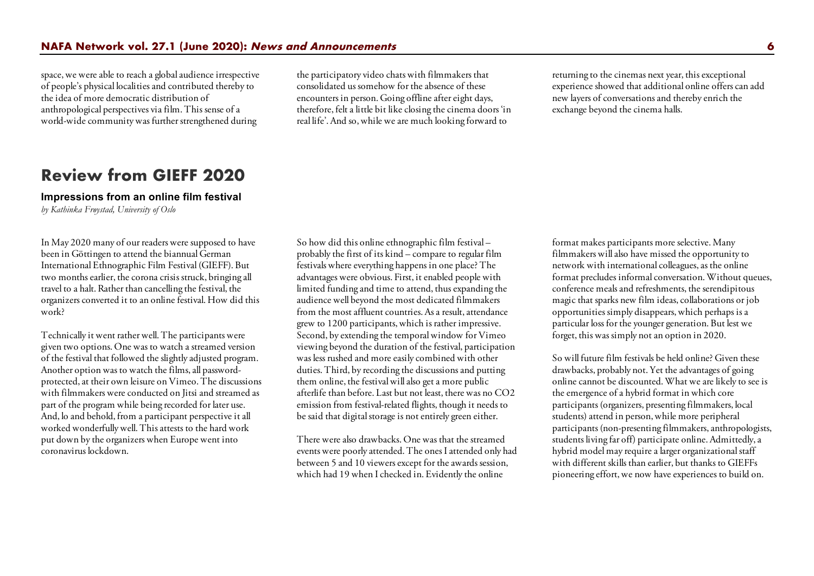space, we were able to reach a global audience irrespective of people's physical localities and contributed thereby to the idea of more democratic distribution of anthropological perspectives via film. This sense of a world-wide community was further strengthened during

**Review from GIEFF 2020**

#### **Impressions from an online film festival**

*by Kathinka Frøystad, University of Oslo*

In May 2020 many of our readers were supposed to have been in Göttingen to attend the biannual German International Ethnographic Film Festival (GIEFF). But two months earlier, the corona crisis struck, bringing all travel to a halt. Rather than cancelling the festival, the organizers converted it to an online festival. How did this work?

Technically it went rather well. The participants were given two options. One was to watch a streamed version of the festival that followed the slightly adjusted program. Another option was to watch the films, all passwordprotected, at their own leisure on Vimeo. The discussions with filmmakers were conducted on Jitsi and streamed as part of the program while being recorded for later use. And, lo and behold, from a participant perspective it all worked wonderfully well. This attests to the hard work put down by the organizers when Europe went into coronavirus lockdown.

the participatory video chats with filmmakers that consolidated us somehow for the absence of these encounters in person. Going offline after eight days, therefore, felt a little bit like closing the cinema doors 'in real life'. And so, while we are much looking forward to

returning to the cinemas next year, this exceptional experience showed that additional online offers can add new layers of conversations and thereby enrich the exchange beyond the cinema halls.

So how did this online ethnographic film festival – probably the first of its kind – compare to regular film festivals where everything happens in one place? The advantages were obvious. First, it enabled people with limited funding and time to attend, thus expanding the audience well beyond the most dedicated filmmakers from the most affluent countries. As a result, attendance grew to 1200 participants, which is rather impressive. Second, by extending the temporal window for Vimeo viewing beyond the duration of the festival, participation was less rushed and more easily combined with other duties. Third, by recording the discussions and putting them online, the festival will also get a more public afterlife than before. Last but not least, there was no CO2 emission from festival-related flights, though it needs to be said that digital storage is not entirely green either.

There were also drawbacks. One was that the streamed events were poorly attended. The ones I attended only had between 5 and 10 viewers except for the awards session, which had 19 when I checked in. Evidently the online

format makes participants more selective. Many filmmakers will also have missed the opportunity to network with international colleagues, as the online format precludes informal conversation. Without queues, conference meals and refreshments, the serendipitous magic that sparks new film ideas, collaborations or job opportunities simply disappears, which perhaps is a particular loss for the younger generation. But lest we forget, this was simply not an option in 2020.

So will future film festivals be held online? Given these drawbacks, probably not. Yet the advantages of going online cannot be discounted. What we are likely to see is the emergence of a hybrid format in which core participants (organizers, presenting filmmakers, local students) attend in person, while more peripheral participants (non-presenting filmmakers, anthropologists, students living far off) participate online. Admittedly, a hybrid model may require a larger organizational staff with different skills than earlier, but thanks to GIEFFs pioneering effort, we now have experiences to build on.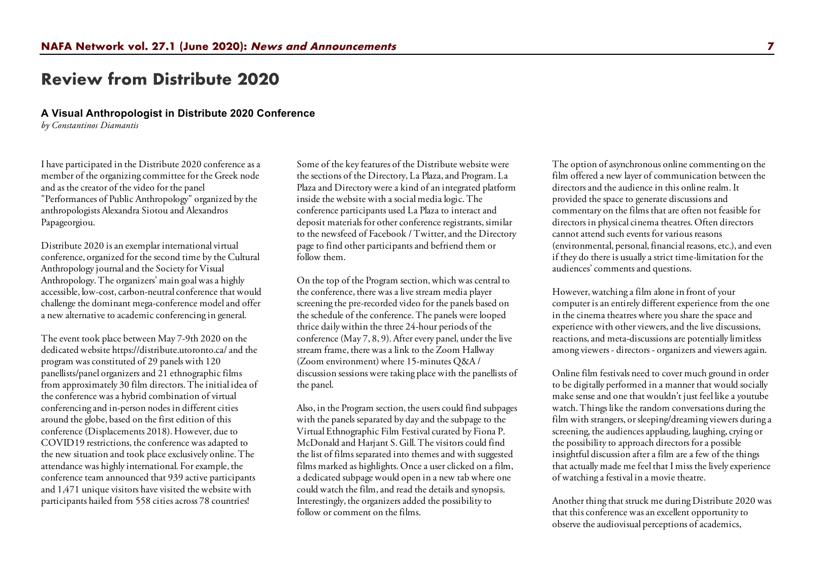# **Review from Distribute 2020**

#### **A Visual Anthropologist in Distribute 2020 Conference**

*by Constantinos Diamantis*

I have participated in the Distribute 2020 conference as a member of the organizing committee for the Greek node and as the creator of the video for the panel "Performances of Public Anthropology" organized by the anthropologists Alexandra Siotou and Alexandros Papageorgiou.

Distribute 2020 is an exemplar international virtual conference, organized for the second time by the Cultural Anthropology journal and the Society for Visual Anthropology. The organizers' main goal was a highly accessible, low-cost, carbon-neutral conference that would challenge the dominant mega-conference model and offer a new alternative to academic conferencing in general.

The event took place between May 7-9th 2020 on the dedicated website https://distribute.utoronto.ca/ and the program was constituted of 29 panels with 120 panellists/panel organizers and 21 ethnographic films from approximately 30 film directors. The initial idea of the conference was a hybrid combination of virtual conferencing and in-person nodes in different cities around the globe, based on the first edition of this conference (Displacements 2018). However, due to COVID19 restrictions, the conference was adapted to the new situation and took place exclusively online. The attendance was highly international. For example, the conference team announced that 939 active participants and 1,471 unique visitors have visited the website with participants hailed from 558 cities across 78 countries!

Some of the key features of the Distribute website were the sections of the Directory, La Plaza, and Program. La Plaza and Directory were a kind of an integrated platform inside the website with a social media logic. The conference participants used La Plaza to interact and deposit materials for other conference registrants, similar to the newsfeed of Facebook / Twitter, and the Directory page to find other participants and befriend them or follow them.

On the top of the Program section, which was central to the conference, there was a live stream media player screening the pre-recorded video for the panels based on the schedule of the conference. The panels were looped thrice daily within the three 24-hour periods of the conference (May 7, 8, 9). After every panel, under the live stream frame, there was a link to the Zoom Hallway (Zoom environment) where 15-minutes Q&A / discussion sessions were taking place with the panellists of the panel.

Also, in the Program section, the users could find subpages with the panels separated by day and the subpage to the Virtual Ethnographic Film Festival curated by Fiona P. McDonald and Harjant S. Gill. The visitors could find the list of films separated into themes and with suggested films marked as highlights. Once a user clicked on a film, a dedicated subpage would open in a new tab where one could watch the film, and read the details and synopsis. Interestingly, the organizers added the possibility to follow or comment on the films.

The option of asynchronous online commenting on the film offered a new layer of communication between the directors and the audience in this online realm. It provided the space to generate discussions and commentary on the films that are often not feasible for directors in physical cinema theatres. Often directors cannot attend such events for various reasons (environmental, personal, financial reasons, etc.), and even if they do there is usually a strict time-limitation for the audiences' comments and questions.

However, watching a film alone in front of your computer is an entirely different experience from the one in the cinema theatres where you share the space and experience with other viewers, and the live discussions, reactions, and meta-discussions are potentially limitless among viewers - directors - organizers and viewers again.

Online film festivals need to cover much ground in order to be digitally performed in a manner that would socially make sense and one that wouldn't just feel like a youtube watch. Things like the random conversations during the film with strangers, or sleeping/dreaming viewers during a screening, the audiences applauding, laughing, crying or the possibility to approach directors for a possible insightful discussion after a film are a few of the things that actually made me feel that I miss the lively experience of watching a festival in a movie theatre.

Another thing that struck me during Distribute 2020 was that this conference was an excellent opportunity to observe the audiovisual perceptions of academics,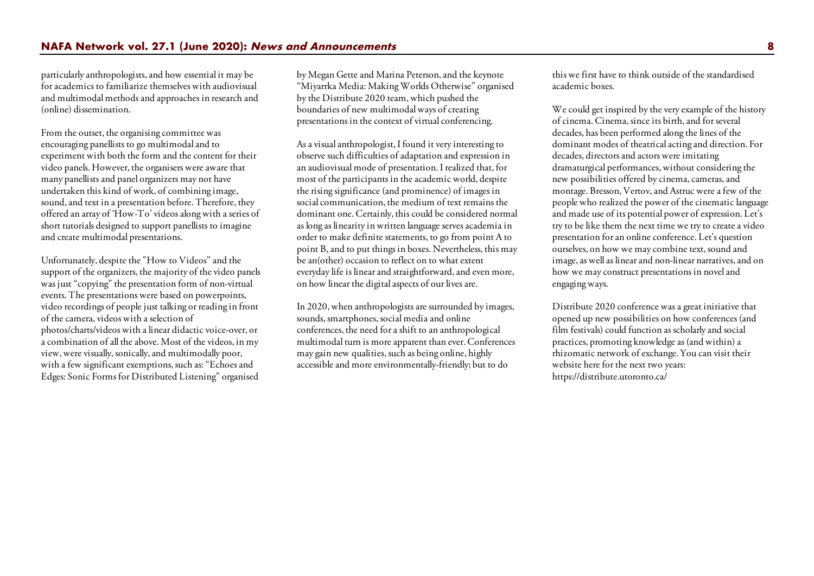particularly anthropologists, and how essential it may be for academics to familiarize themselves with audiovisual and multimodal methods and approaches in research and (online) dissemination.

From the outset, the organising committee was encouraging panellists to go multimodal and to experiment with both the form and the content for their video panels. However, the organisers were aware that many panellists and panel organizers may not have undertaken this kind of work, of combining image, sound, and text in a presentation before. Therefore, they offered an array of 'How-To' videos along with a series of short tutorials designed to support panellists to imagine and create multimodal presentations.

Unfortunately, despite the "How to Videos" and the support of the organizers, the majority of the video panels was just "copying" the presentation form of non-virtual events. The presentations were based on powerpoints, video recordings of people just talking or reading in front of the camera, videos with a selection of photos/charts/videos with a linear didactic voice-over, or a combination of all the above. Most of the videos, in my view, were visually, sonically, and multimodally poor, with a few significant exemptions, such as: "Echoes and Edges: Sonic Forms for Distributed Listening" organised

by Megan Gette and Marina Peterson, and the keynote "Miyarrka Media: Making Worlds Otherwise" organised by the Distribute 2020 team, which pushed the boundaries of new multimodal ways of creating presentations in the context of virtual conferencing.

As a visual anthropologist, I found it very interesting to observe such difficulties of adaptation and expression in an audiovisual mode of presentation. I realized that, for most of the participants in the academic world, despite the rising significance (and prominence) of images in social communication, the medium of text remains the dominant one. Certainly, this could be considered normal as long as linearity in written language serves academia in order to make definite statements, to go from point A to point B, and to put things in boxes. Nevertheless, this may be an(other) occasion to reflect on to what extent everyday life is linear and straightforward, and even more, on how linear the digital aspects of our lives are.

In 2020, when anthropologists are surrounded by images, sounds, smartphones, social media and online conferences, the need for a shift to an anthropological multimodal turn is more apparent than ever. Conferences may gain new qualities, such as being online, highly accessible and more environmentally-friendly; but to do

this we first have to think outside of the standardised academic boxes.

We could get inspired by the very example of the history of cinema. Cinema, since its birth, and for several decades, has been performed along the lines of the dominant modes of theatrical acting and direction. For decades, directors and actors were imitating dramaturgical performances, without considering the new possibilities offered by cinema, cameras, and montage. Bresson, Vertov, and Astruc were a few of the people who realized the power of the cinematic language and made use of its potential power of expression. Let's try to be like them the next time we try to create a video presentation for an online conference. Let's question ourselves, on how we may combine text, sound and image, as well as linear and non-linear narratives, and on how we may construct presentations in novel and engaging ways.

Distribute 2020 conference was a great initiative that opened up new possibilities on how conferences (and film festivals) could function as scholarly and social practices, promoting knowledge as (and within) a rhizomatic network of exchange. You can visit their website here for the next two years: https://distribute.utoronto.ca/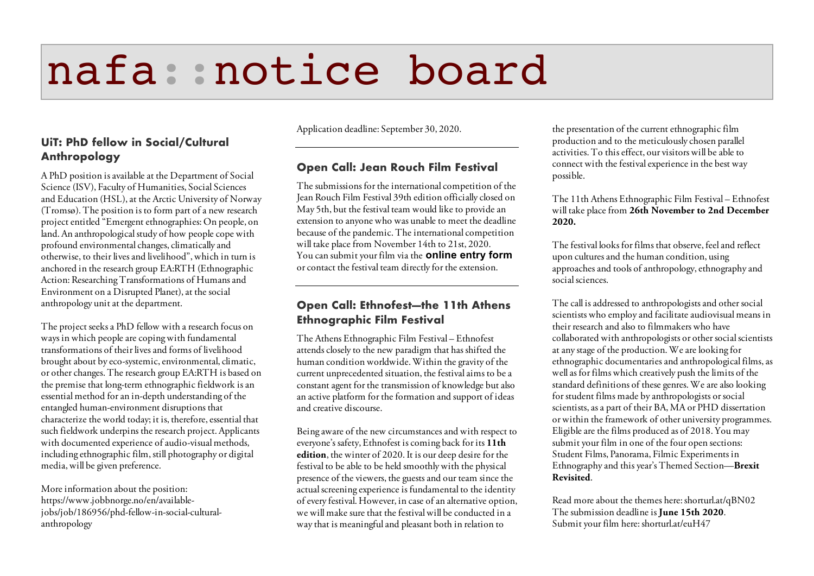# nafa::notice board

#### **UiT: PhD fellow in Social/Cultural Anthropology**

A PhD position is available at the Department of Social Science (ISV), Faculty of Humanities, Social Sciences and Education (HSL), at the Arctic University of Norway (Tromsø). The position is to form part of a new research project entitled "Emergent ethnographies: On people, on land. An anthropological study of how people cope with profound environmental changes, climatically and otherwise, to their lives and livelihood", which in turn is anchored in the research group EA:RTH (Ethnographic Action: Researching Transformations of Humans and Environment on a Disrupted Planet), at the social anthropology unit at the department.

The project seeks a PhD fellow with a research focus on ways in which people are coping with fundamental transformations of their lives and forms of livelihood brought about by eco-systemic, environmental, climatic, or other changes. The research group EA:RTH is based on the premise that long-term ethnographic fieldwork is an essential method for an in-depth understanding of the entangled human-environment disruptions that characterize the world today; it is, therefore, essential that such fieldwork underpins the research project. Applicants with documented experience of audio-visual methods, including ethnographic film, still photography or digital media, will be given preference.

More information about the position: https://www.jobbnorge.no/en/availablejobs/job/186956/phd-fellow-in-social-culturalanthropology

Application deadline: September 30, 2020.

#### **Open Call: Jean Rouch Film Festival**

The submissions for the international competition of the Jean Rouch Film Festival 39th edition officially closed on May 5th, but the festival team would like to provide an extension to anyone who was unable to meet the deadline because of the pandemic. The international competition will take place from November 14th to 21st, 2020. You can submit your film via the **online entry form** or contact the festival team directly for the extension.

#### **Open Call: Ethnofest—the 11th Athens Ethnographic Film Festival**

The Athens Ethnographic Film Festival – Ethnofest attends closely to the new paradigm that has shifted the human condition worldwide. Within the gravity of the current unprecedented situation, the festival aims to be a constant agent for the transmission of knowledge but also an active platform for the formation and support of ideas and creative discourse.

Being aware of the new circumstances and with respect to everyone's safety, Ethnofest is coming back for its **11th edition**, the winter of 2020. It is our deep desire for the festival to be able to be held smoothly with the physical presence of the viewers, the guests and our team since the actual screening experience is fundamental to the identity of every festival. However, in case of an alternative option, we will make sure that the festival will be conducted in a way that is meaningful and pleasant both in relation to

the presentation of the current ethnographic film production and to the meticulously chosen parallel activities. To this effect, our visitors will be able to connect with the festival experience in the best way possible.

The 11th Athens Ethnographic Film Festival – Ethnofest will take place from **26th November to 2nd December 2020.**

The festival looks for films that observe, feel and reflect upon cultures and the human condition, using approaches and tools of anthropology, ethnography and social sciences.

The call is addressed to anthropologists and other social scientists who employ and facilitate audiovisual means in their research and also to filmmakers who have collaborated with anthropologists or other social scientists at any stage of the production. We are looking for ethnographic documentaries and anthropological films, as well as for films which creatively push the limits of the standard definitions of these genres. We are also looking for student films made by anthropologists or social scientists, as a part of their BA, MA or PHD dissertation or within the framework of other university programmes. Eligible are the films produced as of 2018. You may submit your film in one of the four open sections: Student Films, Panorama, Filmic Experiments in Ethnography and this year's Themed Section—**Brexit Revisited**.

Read more about the themes here: shorturl.at/qBN02 The submission deadline is **June 15th 2020**. Submit your film here: shorturl.at/euH47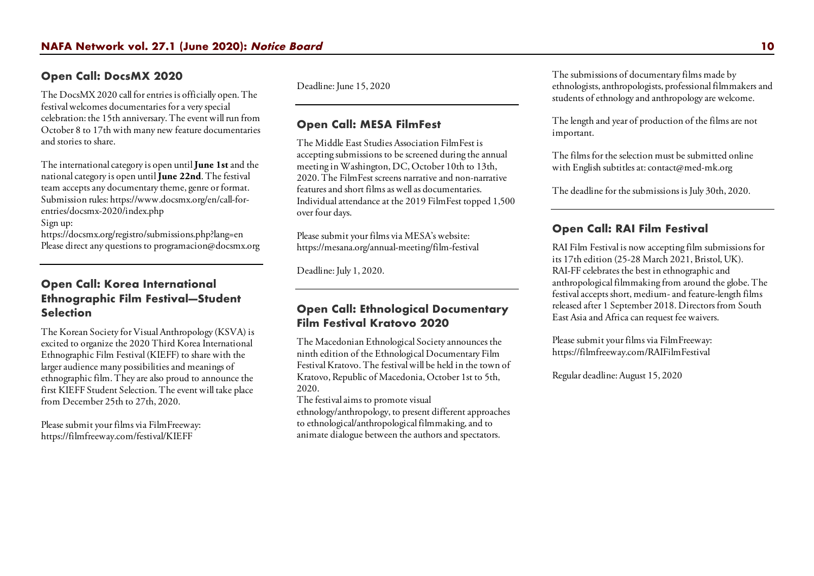#### **Open Call: DocsMX 2020**

The DocsMX 2020 call for entries is officially open. The festival welcomes documentaries for a very special celebration: the 15th anniversary. The event will run from October 8 to 17th with many new feature documentaries and stories to share.

The international category is open until **June 1st** and the national category is open until **June 22nd**. The festival team accepts any documentary theme, genre or format. Submission rules: https://www.docsmx.org/en/call-forentries/docsmx-2020/index.php

Sign up:

https://docsmx.org/registro/submissions.php?lang=en Please direct any questions to programacion@docsmx.org

### **Open Call: Korea International Ethnographic Film Festival—Student Selection**

The Korean Society for Visual Anthropology (KSVA) is excited to organize the 2020 Third Korea International Ethnographic Film Festival (KIEFF) to share with the larger audience many possibilities and meanings of ethnographic film. They are also proud to announce the first KIEFF Student Selection. The event will take place from December 25th to 27th, 2020.

Please submit your films via FilmFreeway: https://filmfreeway.com/festival/KIEFF

Deadline: June 15, 2020

## **Open Call: MESA FilmFest**

The Middle East Studies Association FilmFest is accepting submissions to be screened during the annual meeting in Washington, DC, October 10th to 13th, 2020. The FilmFest screens narrative and non-narrative features and short films as well as documentaries. Individual attendance at the 2019 FilmFest topped 1,500 over four days.

Please submit your films via MESA's website: https://mesana.org/annual-meeting/film-festival

Deadline: July 1, 2020.

### **Open Call: Ethnological Documentary Film Festival Kratovo 2020**

The Macedonian Ethnological Society announces the ninth edition of the Ethnological Documentary Film Festival Kratovo. The festival will be held in the town of Kratovo, Republic of Macedonia, October 1st to 5th, 2020.

The festival aims to promote visual ethnology/anthropology, to present different approaches to ethnological/anthropological filmmaking, and to animate dialogue between the authors and spectators.

The submissions of documentary films made by ethnologists, anthropologists, professional filmmakers and students of ethnology and anthropology are welcome.

The length and year of production of the films are not important.

The films for the selection must be submitted online with English subtitles at: contact@med-mk.org

The deadline for the submissions is July 30th, 2020.

## **Open Call: RAI Film Festival**

RAI Film Festival is now accepting film submissions for its 17th edition (25-28 March 2021, Bristol, UK). RAI-FF celebrates the best in ethnographic and anthropological filmmaking from around the globe. The festival accepts short, medium- and feature-length films released after 1 September 2018. Directors from South East Asia and Africa can request fee waivers.

Please submit your films via FilmFreeway: https://filmfreeway.com/RAIFilmFestival

Regular deadline: August 15, 2020